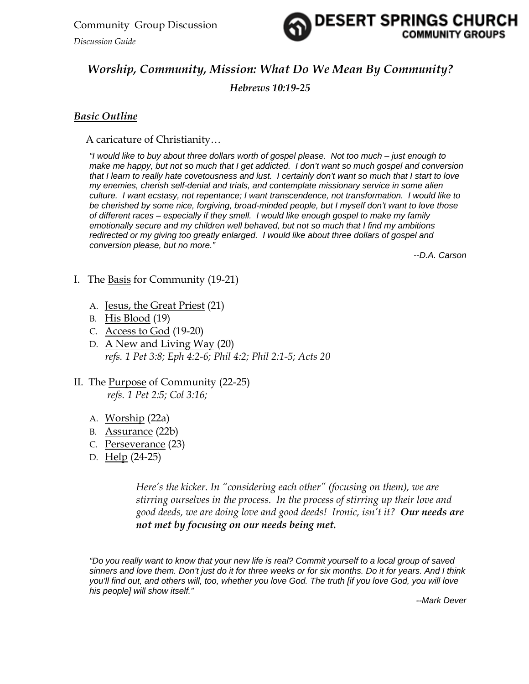*Discussion Guide* 



# *Worship, Community, Mission: What Do We Mean By Community?*

*Hebrews 10:19-25*

## *Basic Outline*

A caricature of Christianity…

*"I would like to buy about three dollars worth of gospel please. Not too much – just enough to make me happy, but not so much that I get addicted. I don't want so much gospel and conversion that I learn to really hate covetousness and lust. I certainly don't want so much that I start to love my enemies, cherish self-denial and trials, and contemplate missionary service in some alien culture. I want ecstasy, not repentance; I want transcendence, not transformation. I would like to be cherished by some nice, forgiving, broad-minded people, but I myself don't want to love those of different races – especially if they smell. I would like enough gospel to make my family emotionally secure and my children well behaved, but not so much that I find my ambitions*  redirected or my giving too greatly enlarged. I would like about three dollars of gospel and *conversion please, but no more."* 

*--D.A. Carson* 

- I. The Basis for Community (19-21)
	- A. Jesus, the Great Priest (21)
	- B. His Blood (19)
	- C. Access to God (19-20)
	- D. A New and Living Way (20) *refs. 1 Pet 3:8; Eph 4:2-6; Phil 4:2; Phil 2:1-5; Acts 20*

#### II. The Purpose of Community (22-25) *refs. 1 Pet 2:5; Col 3:16;*

- A. Worship (22a)
- B. Assurance (22b)
- C. Perseverance (23)
- D. Help (24-25)

*Here's the kicker. In "considering each other" (focusing on them), we are stirring ourselves in the process. In the process of stirring up their love and good deeds, we are doing love and good deeds! Ironic, isn't it? Our needs are not met by focusing on our needs being met.* 

*"Do you really want to know that your new life is real? Commit yourself to a local group of saved sinners and love them. Don't just do it for three weeks or for six months. Do it for years. And I think you'll find out, and others will, too, whether you love God. The truth [if you love God, you will love his people] will show itself."* 

*--Mark Dever*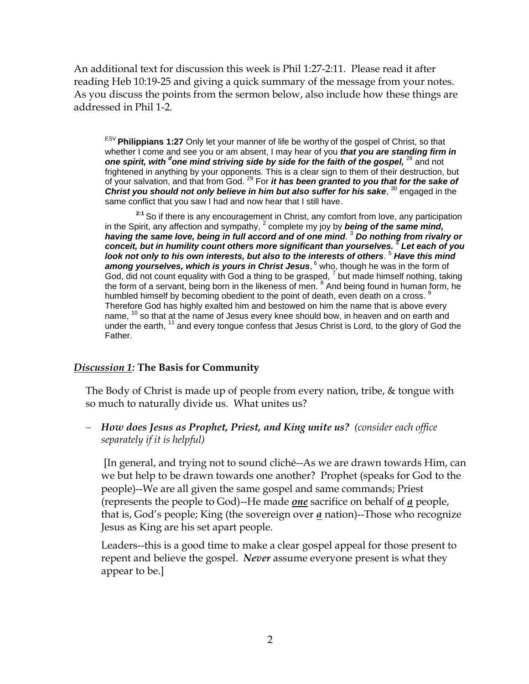An additional text for discussion this week is Phil 1:27-2:11. Please read it after reading Heb 10:19-25 and giving a quick summary of the message from your notes. As you discuss the points from the sermon below, also include how these things are addressed in Phil 1-2.

ESV **Philippians 1:27** Only let your manner of life be worthy of the gospel of Christ, so that whether I come and see you or am absent, I may hear of you *that you are standing firm in*  **one spirit, with <sup>d</sup>one mind striving side by side for the faith of the gospel, <sup>28</sup> and not** frightened in anything by your opponents. This is a clear sign to them of their destruction, but of your salvation, and that from God. 29 For *it has been granted to you that for the sake of*  **Christ you should not only believe in him but also suffer for his sake, <sup>30</sup> engaged in the** same conflict that you saw I had and now hear that I still have.

 **2:1** So if there is any encouragement in Christ, any comfort from love, any participation in the Spirit, any affection and sympathy, <sup>2</sup> complete my joy by **being of the same mind,** *having the same love, being in full accord and of one mind*. 3 *Do nothing from rivalry or conceit, but in humility count others more significant than yourselves.* <sup>4</sup> *Let each of you look not only to his own interests, but also to the interests of others*. 5 *Have this mind*  among yourselves, which is yours in Christ Jesus, <sup>6</sup> who, though he was in the form of God, did not count equality with God a thing to be grasped,  $^7$  but made himself nothing, taking the form of a servant, being born in the likeness of men. <sup>8</sup> And being found in human form, he humbled himself by becoming obedient to the point of death, even death on a cross. <sup>9</sup> Therefore God has highly exalted him and bestowed on him the name that is above every name, <sup>10</sup> so that at the name of Jesus every knee should bow, in heaven and on earth and under the earth, <sup>11</sup> and every tongue confess that Jesus Christ is Lord, to the glory of God the Father.

#### *Discussion 1:* **The Basis for Community**

The Body of Christ is made up of people from every nation, tribe, & tongue with so much to naturally divide us. What unites us?

− *How does Jesus as Prophet, Priest, and King unite us? (consider each office separately if it is helpful)*

 [In general, and trying not to sound cliché--As we are drawn towards Him, can we but help to be drawn towards one another? Prophet (speaks for God to the people)--We are all given the same gospel and same commands; Priest (represents the people to God)--He made *one* sacrifice on behalf of *a* people, that is, God's people; King (the sovereign over *a* nation)--Those who recognize Jesus as King are his set apart people.

Leaders--this is a good time to make a clear gospel appeal for those present to repent and believe the gospel. *Never* assume everyone present is what they appear to be.]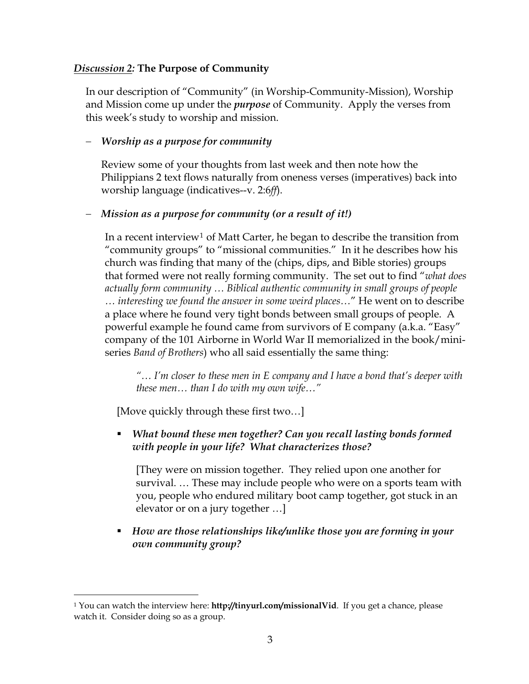## *Discussion 2:* **The Purpose of Community**

In our description of "Community" (in Worship-Community-Mission), Worship and Mission come up under the *purpose* of Community. Apply the verses from this week's study to worship and mission.

# − *Worship as a purpose for community*

Review some of your thoughts from last week and then note how the Philippians 2 text flows naturally from oneness verses (imperatives) back into worship language (indicatives--v. 2:6*ff*).

# − *Mission as a purpose for community (or a result of it!)*

In a recent interview<sup>[1](#page-2-0)</sup> of Matt Carter, he began to describe the transition from "community groups" to "missional communities." In it he describes how his church was finding that many of the (chips, dips, and Bible stories) groups that formed were not really forming community. The set out to find "*what does actually form community … Biblical authentic community in small groups of people … interesting we found the answer in some weird places…*" He went on to describe a place where he found very tight bonds between small groups of people. A powerful example he found came from survivors of E company (a.k.a. "Easy" company of the 101 Airborne in World War II memorialized in the book/miniseries *Band of Brothers*) who all said essentially the same thing:

*"… I'm closer to these men in E company and I have a bond that's deeper with these men… than I do with my own wife…"* 

[Move quickly through these first two…]

 $\overline{a}$ 

 *What bound these men together? Can you recall lasting bonds formed with people in your life? What characterizes those?* 

[They were on mission together. They relied upon one another for survival. … These may include people who were on a sports team with you, people who endured military boot camp together, got stuck in an elevator or on a jury together …]

 *How are those relationships like/unlike those you are forming in your own community group?*

<span id="page-2-0"></span><sup>1</sup> You can watch the interview here: **http://tinyurl.com/missionalVid**. If you get a chance, please watch it. Consider doing so as a group.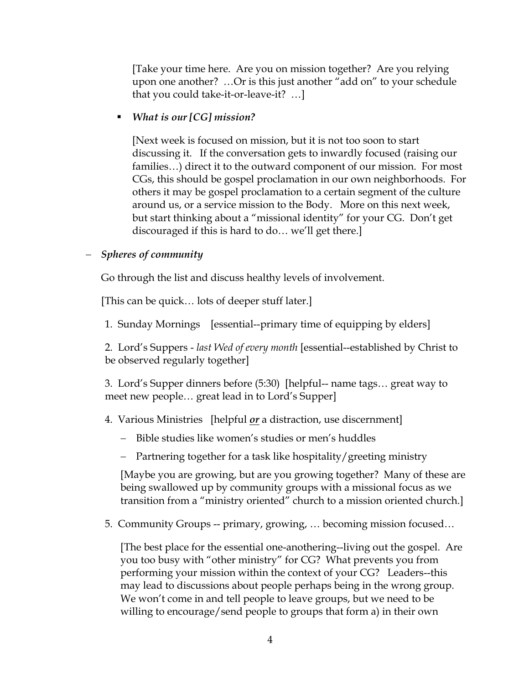[Take your time here. Are you on mission together? Are you relying upon one another? …Or is this just another "add on" to your schedule that you could take-it-or-leave-it? …]

#### *What is our [CG] mission?*

[Next week is focused on mission, but it is not too soon to start discussing it. If the conversation gets to inwardly focused (raising our families…) direct it to the outward component of our mission. For most CGs, this should be gospel proclamation in our own neighborhoods. For others it may be gospel proclamation to a certain segment of the culture around us, or a service mission to the Body. More on this next week, but start thinking about a "missional identity" for your CG. Don't get discouraged if this is hard to do… we'll get there.]

## − *Spheres of community*

Go through the list and discuss healthy levels of involvement.

[This can be quick… lots of deeper stuff later.]

1. Sunday Mornings [essential--primary time of equipping by elders]

2. Lord's Suppers - *last Wed of every month* [essential--established by Christ to be observed regularly together]

3. Lord's Supper dinners before (5:30) [helpful-- name tags… great way to meet new people… great lead in to Lord's Supper]

4. Various Ministries [helpful *or* a distraction, use discernment]

- − Bible studies like women's studies or men's huddles
- − Partnering together for a task like hospitality/greeting ministry

[Maybe you are growing, but are you growing together? Many of these are being swallowed up by community groups with a missional focus as we transition from a "ministry oriented" church to a mission oriented church.]

5. Community Groups -- primary, growing, … becoming mission focused…

[The best place for the essential one-anothering--living out the gospel. Are you too busy with "other ministry" for CG? What prevents you from performing your mission within the context of your CG? Leaders--this may lead to discussions about people perhaps being in the wrong group. We won't come in and tell people to leave groups, but we need to be willing to encourage/send people to groups that form a) in their own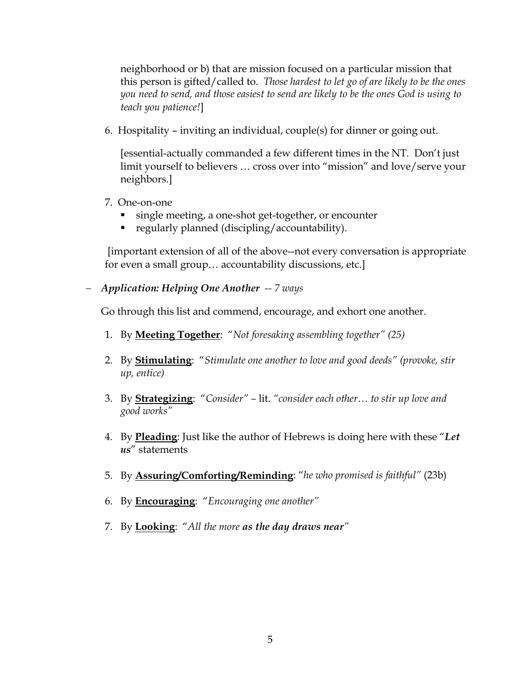neighborhood or b) that are mission focused on a particular mission that this person is gifted/called to. *Those hardest to let go of are likely to be the ones you need to send, and those easiest to send are likely to be the ones God is using to teach you patience!*]

6. Hospitality – inviting an individual, couple(s) for dinner or going out.

[essential-actually commanded a few different times in the NT. Don't just limit yourself to believers … cross over into "mission" and love/serve your neighbors.]

- 7. One-on-one
	- single meeting, a one-shot get-together, or encounter
	- **•** regularly planned (discipling/accountability).

 [important extension of all of the above--not every conversation is appropriate for even a small group… accountability discussions, etc.]

− *Application: Helping One Another -- 7 ways* 

Go through this list and commend, encourage, and exhort one another.

- 1. By **Meeting Together**: "*Not foresaking assembling together" (25)*
- 2. By **Stimulating**: "*Stimulate one another to love and good deeds" (provoke, stir up, entice)*
- 3. By **Strategizing**: "*Consider"* lit. *"consider each other… to stir up love and good works"*
- 4. By **Pleading**: Just like the author of Hebrews is doing here with these "*Let us*" statements
- 5. By **Assuring/Comforting/Reminding**: "*he who promised is faithful"* (23b)
- 6. By **Encouraging**: "*Encouraging one another"*
- 7. By **Looking**: "*All the more as the day draws near"*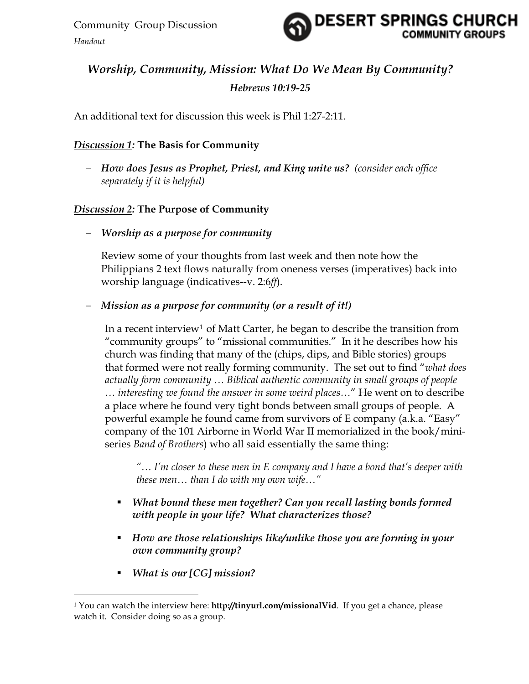

# *Worship, Community, Mission: What Do We Mean By Community? Hebrews 10:19-25*

An additional text for discussion this week is Phil 1:27-2:11.

# *Discussion 1:* **The Basis for Community**

− *How does Jesus as Prophet, Priest, and King unite us? (consider each office separately if it is helpful)*

# *Discussion 2:* **The Purpose of Community**

− *Worship as a purpose for community* 

Review some of your thoughts from last week and then note how the Philippians 2 text flows naturally from oneness verses (imperatives) back into worship language (indicatives--v. 2:6*ff*).

# − *Mission as a purpose for community (or a result of it!)*

In a recent interview<sup>[1](#page-5-0)</sup> of Matt Carter, he began to describe the transition from "community groups" to "missional communities." In it he describes how his church was finding that many of the (chips, dips, and Bible stories) groups that formed were not really forming community. The set out to find "*what does actually form community … Biblical authentic community in small groups of people … interesting we found the answer in some weird places…*" He went on to describe a place where he found very tight bonds between small groups of people. A powerful example he found came from survivors of E company (a.k.a. "Easy" company of the 101 Airborne in World War II memorialized in the book/miniseries *Band of Brothers*) who all said essentially the same thing:

*"… I'm closer to these men in E company and I have a bond that's deeper with these men… than I do with my own wife…"* 

- *What bound these men together? Can you recall lasting bonds formed with people in your life? What characterizes those?*
- *How are those relationships like/unlike those you are forming in your own community group?*
- *What is our [CG] mission?*

 $\overline{a}$ 

<span id="page-5-0"></span><sup>&</sup>lt;sup>1</sup> You can watch the interview here: **http://tinyurl.com/missionalVid**. If you get a chance, please watch it. Consider doing so as a group.